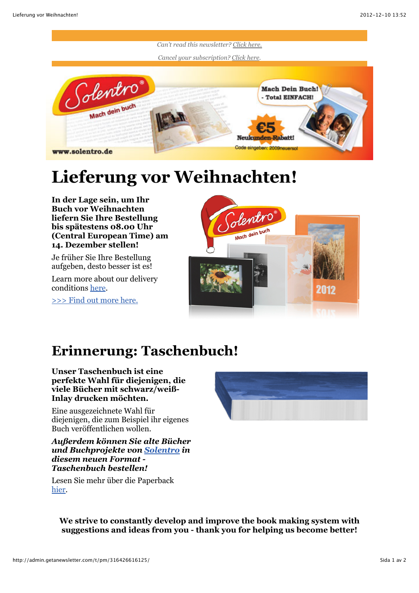

## **Lieferung vor Weihnachten!**

**In der Lage sein, um Ihr Buch vor Weihnachten liefern Sie Ihre Bestellung bis spätestens 08.00 Uhr (Central European Time) am 14. Dezember stellen!**

Je früher Sie Ihre Bestellung aufgeben, desto besser ist es!

Learn more about our delivery conditions [here](http://www.solentro.de/buchversand).

[>>> Find out more here.](http://www.solentro.de/buchversand)



## **Erinnerung: Taschenbuch!**

**Unser Taschenbuch ist eine perfekte Wahl für diejenigen, die viele Bücher mit schwarz/weiß-Inlay drucken möchten.**

Eine ausgezeichnete Wahl für diejenigen, die zum Beispiel ihr eigenes Buch veröffentlichen wollen.

## *Außerdem können Sie alte Bücher und Buchprojekte von [Solentro](http://www.solentro.de/) in diesem neuen Format - Taschenbuch bestellen!*



Lesen Sie mehr über die Paperback [hier](http://www.solentro.de/taschenbuch).

**We strive to constantly develop and improve the book making system with suggestions and ideas from you - thank you for helping us become better!**